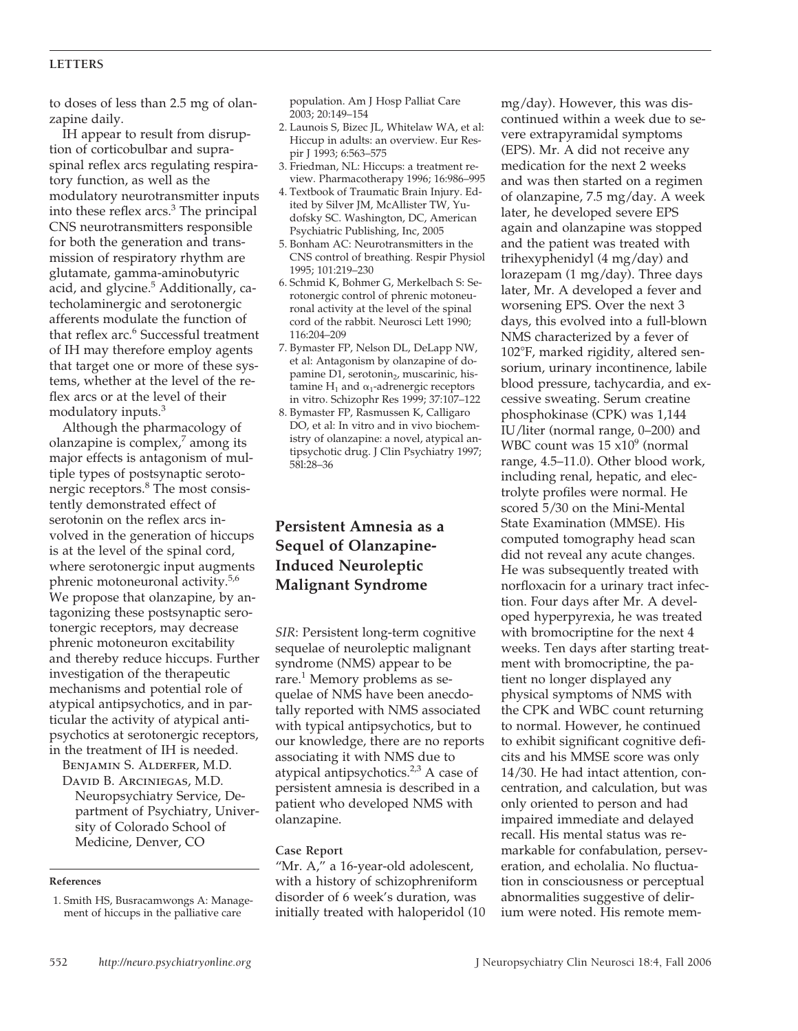## **LETTERS**

to doses of less than 2.5 mg of olanzapine daily.

IH appear to result from disruption of corticobulbar and supraspinal reflex arcs regulating respiratory function, as well as the modulatory neurotransmitter inputs into these reflex  $arcs.<sup>3</sup>$  The principal CNS neurotransmitters responsible for both the generation and transmission of respiratory rhythm are glutamate, gamma-aminobutyric acid, and glycine.<sup>5</sup> Additionally, catecholaminergic and serotonergic afferents modulate the function of that reflex arc.<sup>6</sup> Successful treatment of IH may therefore employ agents that target one or more of these systems, whether at the level of the reflex arcs or at the level of their modulatory inputs.3

Although the pharmacology of olanzapine is complex, $\lambda$  among its major effects is antagonism of multiple types of postsynaptic serotonergic receptors.8 The most consistently demonstrated effect of serotonin on the reflex arcs involved in the generation of hiccups is at the level of the spinal cord, where serotonergic input augments phrenic motoneuronal activity.5,6 We propose that olanzapine, by antagonizing these postsynaptic serotonergic receptors, may decrease phrenic motoneuron excitability and thereby reduce hiccups. Further investigation of the therapeutic mechanisms and potential role of atypical antipsychotics, and in particular the activity of atypical antipsychotics at serotonergic receptors, in the treatment of IH is needed.

Benjamin S. Alderfer, M.D. David B. Arciniegas, M.D.

Neuropsychiatry Service, Department of Psychiatry, University of Colorado School of Medicine, Denver, CO

## **References**

1. Smith HS, Busracamwongs A: Management of hiccups in the palliative care

population. Am J Hosp Palliat Care 2003; 20:149–154

- 2. Launois S, Bizec JL, Whitelaw WA, et al: Hiccup in adults: an overview. Eur Respir J 1993; 6:563–575
- 3. Friedman, NL: Hiccups: a treatment review. Pharmacotherapy 1996; 16:986–995
- 4. Textbook of Traumatic Brain Injury. Edited by Silver JM, McAllister TW, Yudofsky SC. Washington, DC, American Psychiatric Publishing, Inc, 2005
- 5. Bonham AC: Neurotransmitters in the CNS control of breathing. Respir Physiol 1995; 101:219–230
- 6. Schmid K, Bohmer G, Merkelbach S: Serotonergic control of phrenic motoneuronal activity at the level of the spinal cord of the rabbit. Neurosci Lett 1990; 116:204–209
- 7. Bymaster FP, Nelson DL, DeLapp NW, et al: Antagonism by olanzapine of dopamine D1, serotonin<sub>2</sub>, muscarinic, histamine  $H_1$  and  $\alpha_1$ -adrenergic receptors in vitro. Schizophr Res 1999; 37:107–122
- 8. Bymaster FP, Rasmussen K, Calligaro DO, et al: In vitro and in vivo biochemistry of olanzapine: a novel, atypical antipsychotic drug. J Clin Psychiatry 1997; 58l:28–36

## **Persistent Amnesia as a Sequel of Olanzapine-Induced Neuroleptic Malignant Syndrome**

*SIR*: Persistent long-term cognitive sequelae of neuroleptic malignant syndrome (NMS) appear to be rare.<sup>1</sup> Memory problems as sequelae of NMS have been anecdotally reported with NMS associated with typical antipsychotics, but to our knowledge, there are no reports associating it with NMS due to atypical antipsychotics. $2,3$  A case of persistent amnesia is described in a patient who developed NMS with olanzapine.

### **Case Report**

"Mr. A," a 16-year-old adolescent, with a history of schizophreniform disorder of 6 week's duration, was initially treated with haloperidol (10

mg/day). However, this was discontinued within a week due to severe extrapyramidal symptoms (EPS). Mr. A did not receive any medication for the next 2 weeks and was then started on a regimen of olanzapine, 7.5 mg/day. A week later, he developed severe EPS again and olanzapine was stopped and the patient was treated with trihexyphenidyl (4 mg/day) and lorazepam (1 mg/day). Three days later, Mr. A developed a fever and worsening EPS. Over the next 3 days, this evolved into a full-blown NMS characterized by a fever of 102F, marked rigidity, altered sensorium, urinary incontinence, labile blood pressure, tachycardia, and excessive sweating. Serum creatine phosphokinase (CPK) was 1,144 IU/liter (normal range, 0–200) and WBC count was  $15 \times 10^9$  (normal range, 4.5–11.0). Other blood work, including renal, hepatic, and electrolyte profiles were normal. He scored 5/30 on the Mini-Mental State Examination (MMSE). His computed tomography head scan did not reveal any acute changes. He was subsequently treated with norfloxacin for a urinary tract infection. Four days after Mr. A developed hyperpyrexia, he was treated with bromocriptine for the next 4 weeks. Ten days after starting treatment with bromocriptine, the patient no longer displayed any physical symptoms of NMS with the CPK and WBC count returning to normal. However, he continued to exhibit significant cognitive deficits and his MMSE score was only 14/30. He had intact attention, concentration, and calculation, but was only oriented to person and had impaired immediate and delayed recall. His mental status was remarkable for confabulation, perseveration, and echolalia. No fluctuation in consciousness or perceptual abnormalities suggestive of delirium were noted. His remote mem